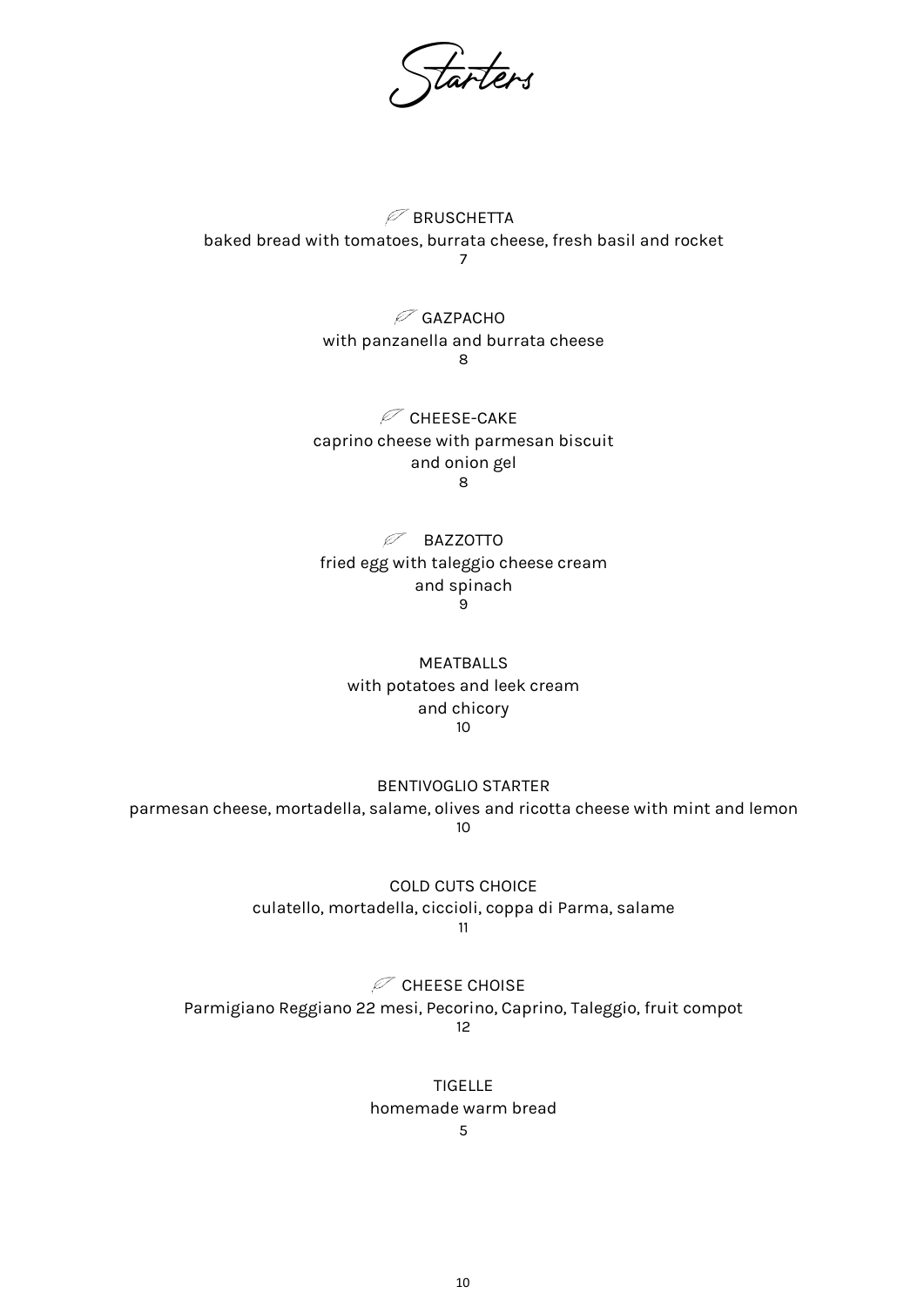tarters

 $\mathcal P$  BRUSCHETTA baked bread with tomatoes, burrata cheese, fresh basil and rocket 7

> $\mathscr{P}$  GAZPACHO with panzanella and burrata cheese 8

 $\mathcal P$  CHEESE-CAKE caprino cheese with parmesan biscuit and onion gel 8

 $\mathscr{P}$  BAZZOTTO fried egg with taleggio cheese cream and spinach 9

MEATBALLS with potatoes and leek cream and chicory 10

BENTIVOGLIO STARTER parmesan cheese, mortadella, salame, olives and ricotta cheese with mint and lemon 10

> COLD CUTS CHOICE culatello, mortadella, ciccioli, coppa di Parma, salame 11

 $\mathcal{O}$  CHEESE CHOISE Parmigiano Reggiano 22 mesi, Pecorino, Caprino, Taleggio, fruit compot 12

> TIGELLE homemade warm bread

5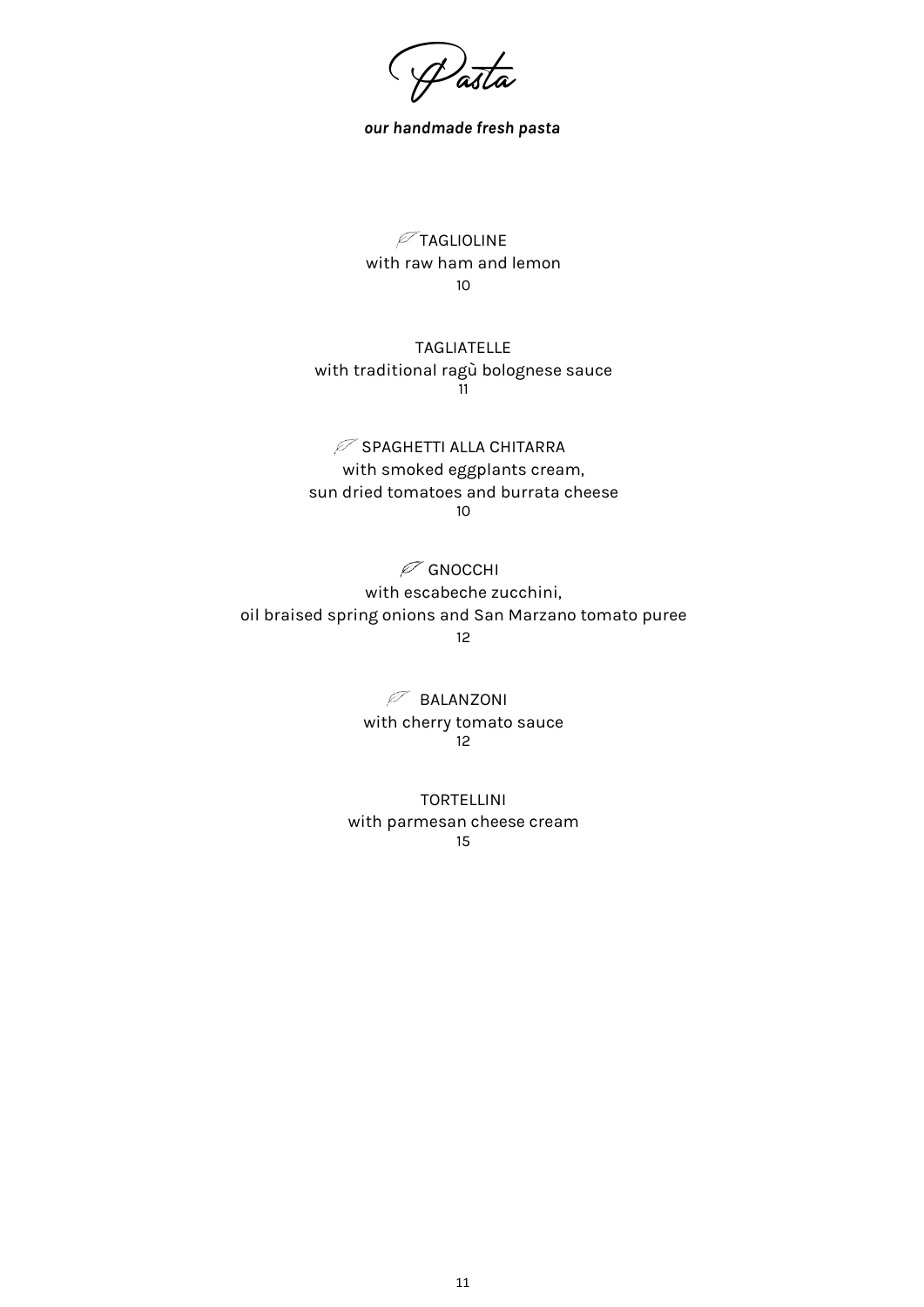Pasta

our handmade fresh pasta

 $\mathcal{P}$ TAGLIOLINE with raw ham and lemon 10

TAGLIATELLE with traditional ragù bolognese sauce 11

 $\mathcal P$  SPAGHETTI ALLA CHITARRA with smoked eggplants cream, sun dried tomatoes and burrata cheese 10

 $\mathcal O$  GNOCCHI with escabeche zucchini, oil braised spring onions and San Marzano tomato puree

12

 $\mathscr{P}$  BALANZONI with cherry tomato sauce 12

TORTELLINI with parmesan cheese cream 15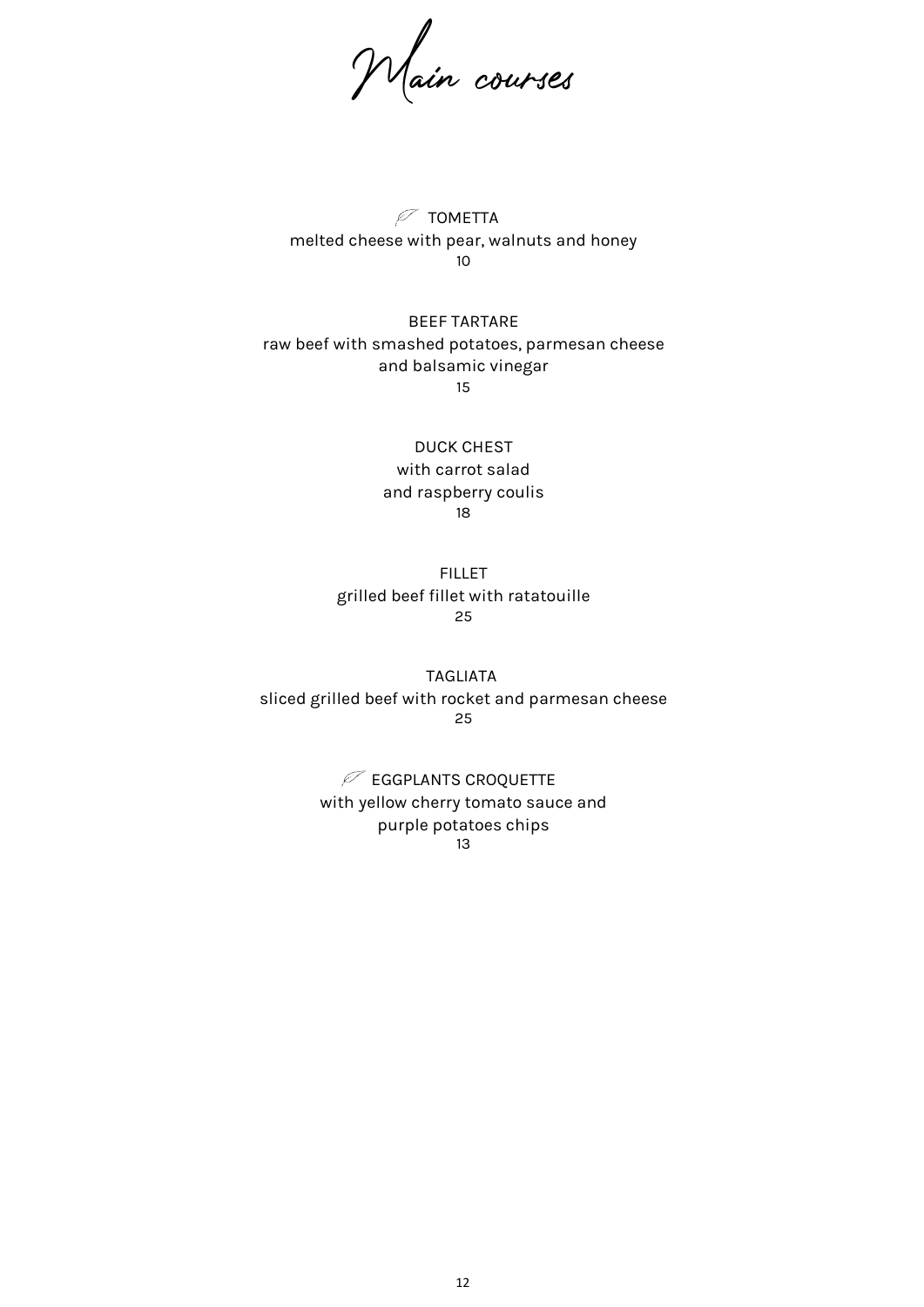Main courses

 $\mathcal{P}$  TOMETTA melted cheese with pear, walnuts and honey 10

BEEF TARTARE raw beef with smashed potatoes, parmesan cheese and balsamic vinegar 15

> DUCK CHEST with carrot salad and raspberry coulis 18

FILLET grilled beef fillet with ratatouille 25

TAGLIATA sliced grilled beef with rocket and parmesan cheese 25

> $\mathcal P$  EGGPLANTS CROQUETTE with yellow cherry tomato sauce and purple potatoes chips 13

> > 12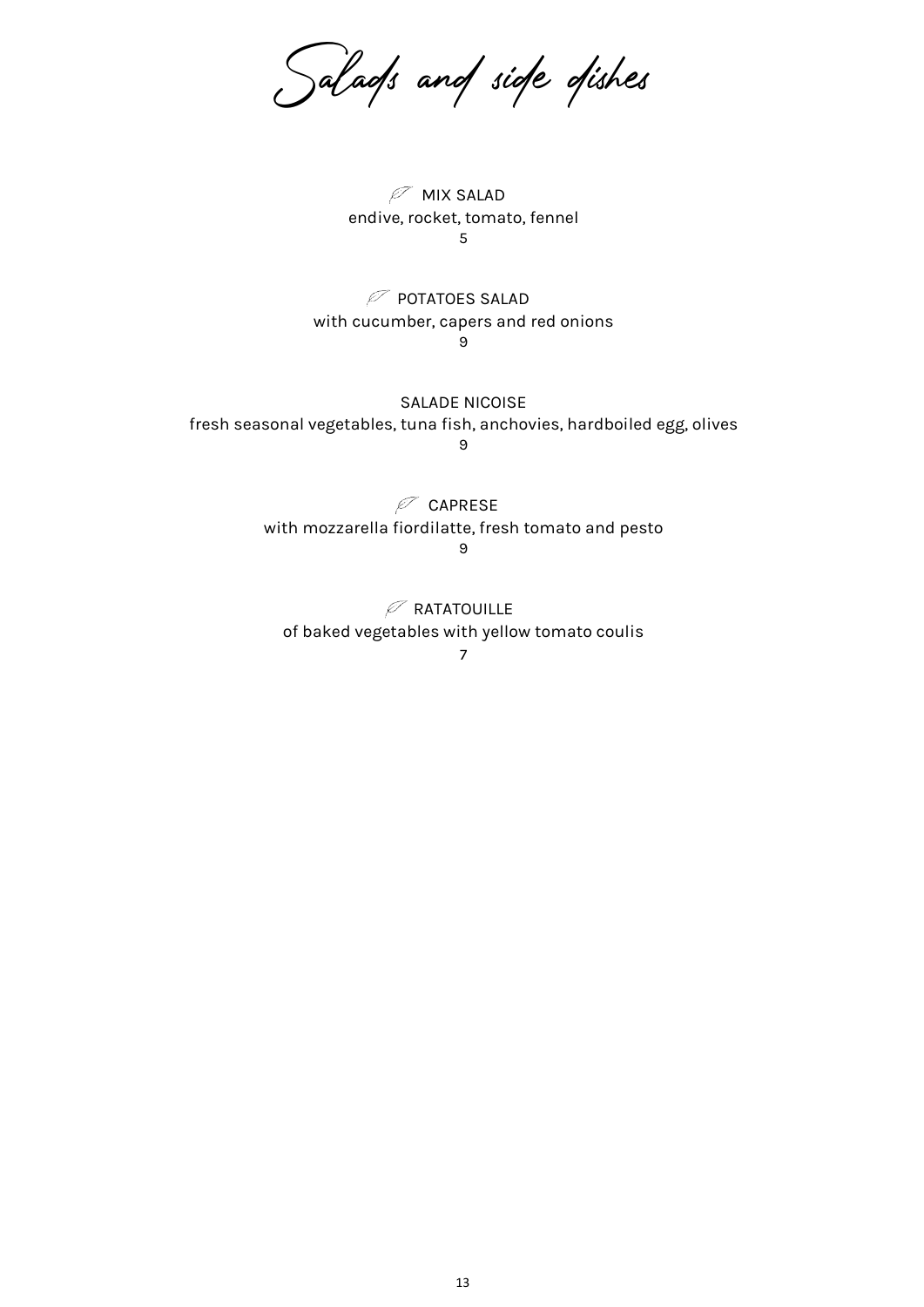Salads and side dishes

 $\mathscr{P}$  MIX SALAD endive, rocket, tomato, fennel 5

 $\mathcal P$  potatoes salad with cucumber, capers and red onions 9

SALADE NICOISE fresh seasonal vegetables, tuna fish, anchovies, hardboiled egg, olives 9

> $\mathscr{P}$  CAPRESE with mozzarella fiordilatte, fresh tomato and pesto 9

 $\mathcal P$  RATATOUILLE of baked vegetables with yellow tomato coulis

7